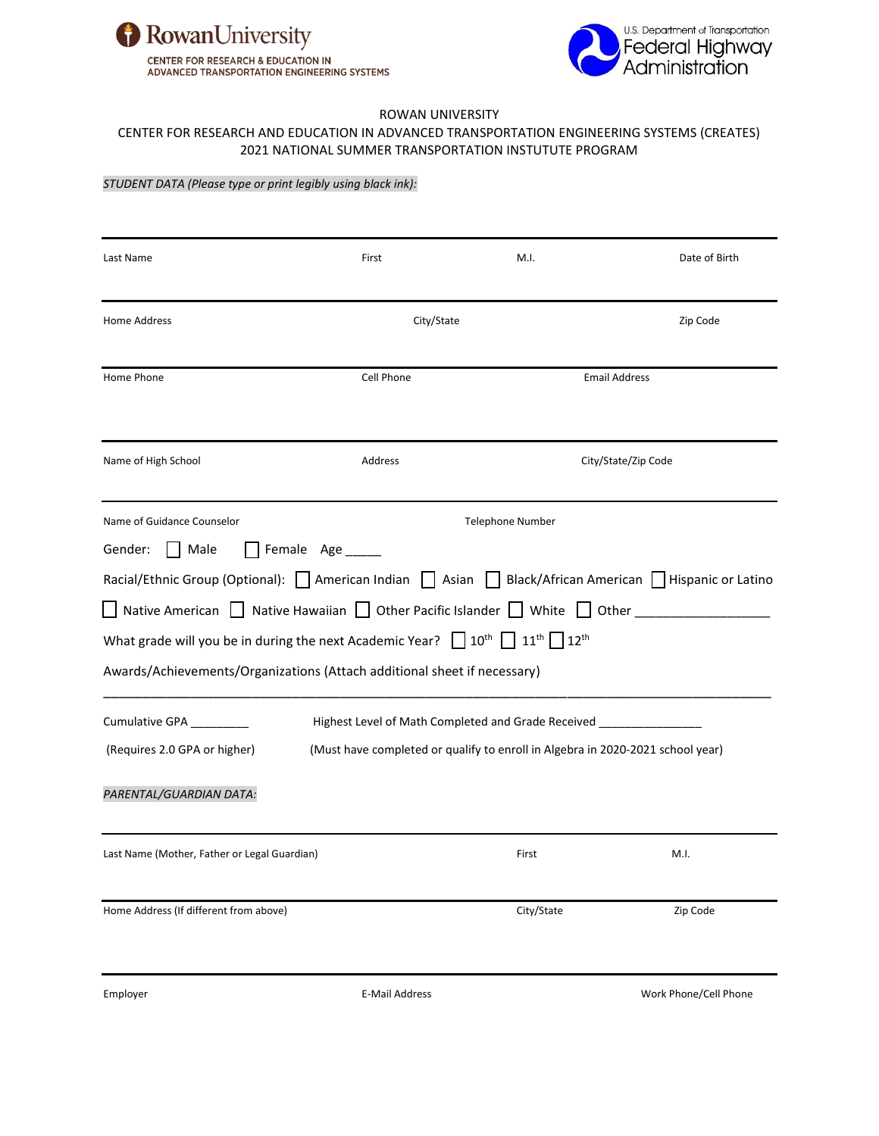



### ROWAN UNIVERSITY

### CENTER FOR RESEARCH AND EDUCATION IN ADVANCED TRANSPORTATION ENGINEERING SYSTEMS (CREATES) 2021 NATIONAL SUMMER TRANSPORTATION INSTUTUTE PROGRAM

#### *STUDENT DATA (Please type or print legibly using black ink):*

| Last Name                                                                                               | First                                                                          | M.I.                                                                | Date of Birth         |
|---------------------------------------------------------------------------------------------------------|--------------------------------------------------------------------------------|---------------------------------------------------------------------|-----------------------|
| Home Address                                                                                            | City/State                                                                     |                                                                     | Zip Code              |
| Home Phone                                                                                              | Cell Phone                                                                     |                                                                     | <b>Email Address</b>  |
| Name of High School                                                                                     | Address                                                                        |                                                                     | City/State/Zip Code   |
| Name of Guidance Counselor                                                                              |                                                                                | <b>Telephone Number</b>                                             |                       |
| Male<br>Gender:                                                                                         | Female Age                                                                     |                                                                     |                       |
| Racial/Ethnic Group (Optional):   American Indian   Asian   Black/African American   Hispanic or Latino |                                                                                |                                                                     |                       |
| $\Box$ Native American $\Box$ Native Hawaiian $\Box$ Other Pacific Islander $\Box$ White $\Box$ Other   |                                                                                |                                                                     |                       |
| What grade will you be in during the next Academic Year? $\Box$ 10 <sup>th</sup>                        |                                                                                | $11^{th}$ 12 <sup>th</sup>                                          |                       |
| Awards/Achievements/Organizations (Attach additional sheet if necessary)                                |                                                                                |                                                                     |                       |
| Cumulative GPA ________                                                                                 |                                                                                | Highest Level of Math Completed and Grade Received ________________ |                       |
| (Requires 2.0 GPA or higher)                                                                            | (Must have completed or qualify to enroll in Algebra in 2020-2021 school year) |                                                                     |                       |
| PARENTAL/GUARDIAN DATA:                                                                                 |                                                                                |                                                                     |                       |
| Last Name (Mother, Father or Legal Guardian)                                                            |                                                                                | First                                                               | M.I.                  |
| Home Address (If different from above)                                                                  |                                                                                | City/State                                                          | Zip Code              |
| Employer                                                                                                | E-Mail Address                                                                 |                                                                     | Work Phone/Cell Phone |